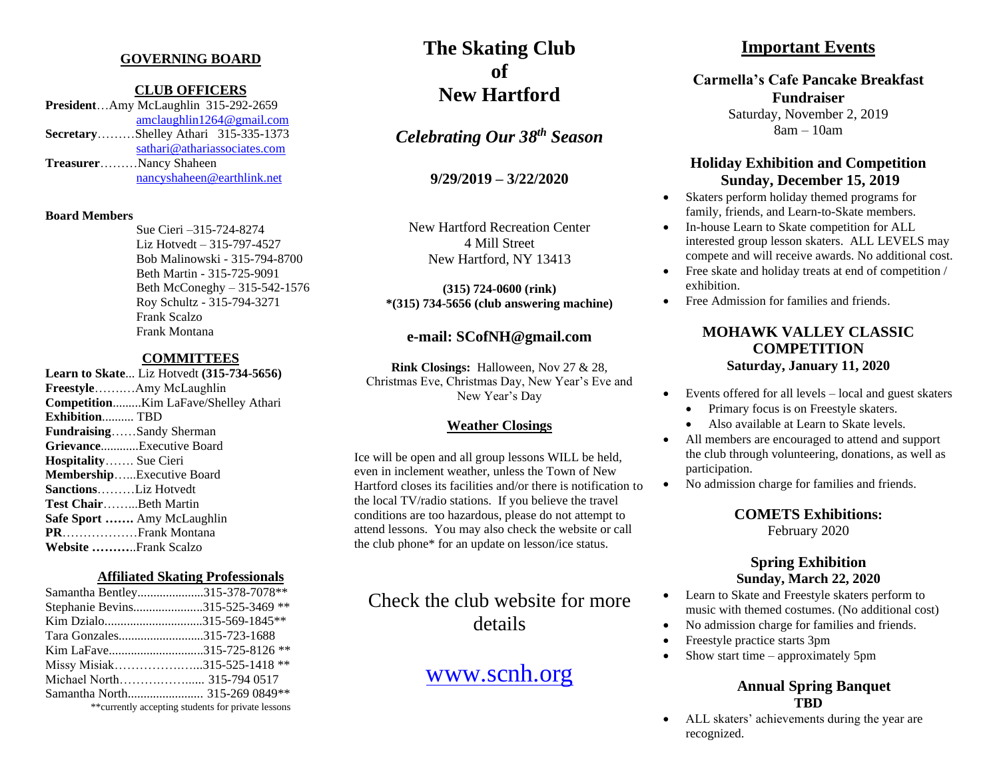#### **GOVERNING BOARD**

#### **CLUB OFFICERS**

**President**…Amy McLaughlin 315-292-2659 [amclaughlin1264@gmail.com](mailto:amclaughlin1264@gmail.com) **Secretary**………Shelley Athari 315-335-1373 [sathari@athariassociates.com](mailto:sathari@athariassociates.com) **Treasurer**………Nancy Shaheen [nancyshaheen@earthlink.net](mailto:nancyshaheen@earthlink.net)

#### **Board Members**

Sue Cieri –315-724-8274 Liz Hotvedt – 315-797-4527 Bob Malinowski - 315-794-8700 Beth Martin - 315-725-9091 Beth McConeghy – 315-542-1576 Roy Schultz - 315-794-3271 Frank Scalzo Frank Montana

#### **COMMITTEES**

**Learn to Skate**... Liz Hotvedt **(315-734-5656) Freestyle**…….…Amy McLaughlin **Competition**.........Kim LaFave/Shelley Athari **Exhibition**.......... TBD **Fundraising**……Sandy Sherman **Grievance**............Executive Board **Hospitality**……. Sue Cieri **Membership**…...Executive Board **Sanctions**………Liz Hotvedt **Test Chair**……...Beth Martin **Safe Sport …….** Amy McLaughlin **PR**………………Frank Montana **Website ………**..Frank Scalzo

#### **Affiliated Skating Professionals**

| Samantha Bentley315-378-7078**                      |  |
|-----------------------------------------------------|--|
| Stephanie Bevins315-525-3469 **                     |  |
| Kim Dzialo315-569-1845**                            |  |
| Tara Gonzales315-723-1688                           |  |
| Kim LaFave315-725-8126 **                           |  |
| Missy Misiak315-525-1418 **                         |  |
| Michael North 315-794 0517                          |  |
| Samantha North 315-269 0849**                       |  |
| ** currently accepting students for private lessons |  |

# **The Skating Club of New Hartford**

*Celebrating Our 38 th Season*

**9/29/2019 – 3/22/2020**

New Hartford Recreation Center 4 Mill Street New Hartford, NY 13413

**(315) 724-0600 (rink) \*(315) 734-5656 (club answering machine)**

### **e-mail: SCofNH@gmail.com**

**Rink Closings:** Halloween, Nov 27 & 28, Christmas Eve, Christmas Day, New Year's Eve and New Year's Day

#### **Weather Closings**

Ice will be open and all group lessons WILL be held, even in inclement weather, unless the Town of New Hartford closes its facilities and/or there is notification to the local TV/radio stations. If you believe the travel conditions are too hazardous, please do not attempt to attend lessons. You may also check the website or call the club phone\* for an update on lesson/ice status.

# Check the club website for more details

## [www.scnh.org](http://www.scnh.org/)

### **Important Events**

## **Carmella's Cafe Pancake Breakfast Fundraiser**

Saturday, November 2, 2019 8am – 10am

### **Holiday Exhibition and Competition Sunday, December 15, 2019**

- Skaters perform holiday themed programs for family, friends, and Learn-to-Skate members.
- In-house Learn to Skate competition for ALL interested group lesson skaters. ALL LEVELS may compete and will receive awards. No additional cost.
- Free skate and holiday treats at end of competition / exhibition.
- Free Admission for families and friends.

### **MOHAWK VALLEY CLASSIC COMPETITION Saturday, January 11, 2020**

- Events offered for all levels local and guest skaters
	- Primary focus is on Freestyle skaters.
	- Also available at Learn to Skate levels.
- All members are encouraged to attend and support the club through volunteering, donations, as well as participation.
- No admission charge for families and friends.

## **COMETS Exhibitions:**

February 2020

### **Spring Exhibition Sunday, March 22, 2020**

- Learn to Skate and Freestyle skaters perform to music with themed costumes. (No additional cost)
- No admission charge for families and friends.
- Freestyle practice starts 3pm
- Show start time approximately 5pm

#### **Annual Spring Banquet TBD**

• ALL skaters' achievements during the year are recognized.